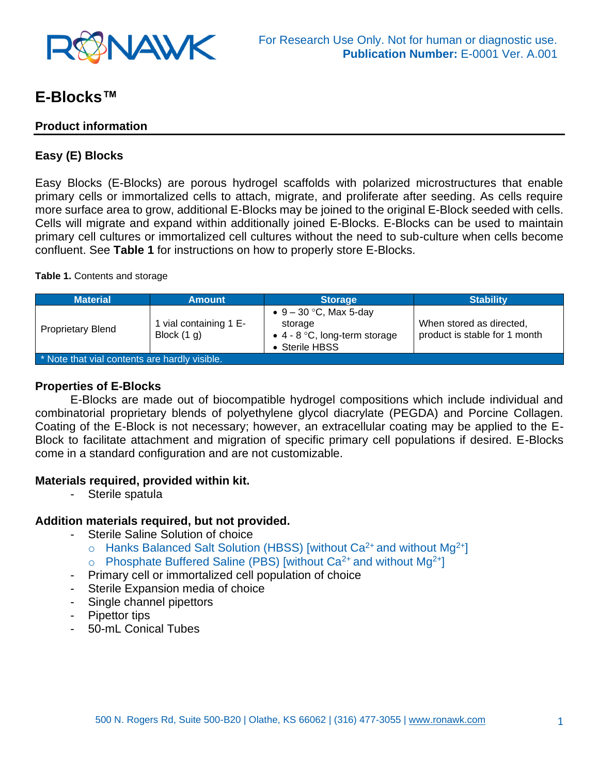

# **E-Blocks™**

## **Product information**

# **Easy (E) Blocks**

Easy Blocks (E-Blocks) are porous hydrogel scaffolds with polarized microstructures that enable primary cells or immortalized cells to attach, migrate, and proliferate after seeding. As cells require more surface area to grow, additional E-Blocks may be joined to the original E-Block seeded with cells. Cells will migrate and expand within additionally joined E-Blocks. E-Blocks can be used to maintain primary cell cultures or immortalized cell cultures without the need to sub-culture when cells become confluent. See **Table 1** for instructions on how to properly store E-Blocks.

#### **Table 1.** Contents and storage

| <b>Material</b>                               | <b>Amount</b>                         | <b>Storage</b>                                                                                 | <b>Stability</b>                                          |
|-----------------------------------------------|---------------------------------------|------------------------------------------------------------------------------------------------|-----------------------------------------------------------|
| <b>Proprietary Blend</b>                      | vial containing 1 E-<br>Block $(1 g)$ | • $9 - 30$ °C, Max 5-day<br>storage<br>$\bullet$ 4 - 8 °C, long-term storage<br>• Sterile HBSS | When stored as directed,<br>product is stable for 1 month |
| * Note that vial contents are hardly visible. |                                       |                                                                                                |                                                           |

#### **Properties of E-Blocks**

E-Blocks are made out of biocompatible hydrogel compositions which include individual and combinatorial proprietary blends of polyethylene glycol diacrylate (PEGDA) and Porcine Collagen. Coating of the E-Block is not necessary; however, an extracellular coating may be applied to the E-Block to facilitate attachment and migration of specific primary cell populations if desired. E-Blocks come in a standard configuration and are not customizable.

#### **Materials required, provided within kit.**

- Sterile spatula

#### **Addition materials required, but not provided.**

- Sterile Saline Solution of choice
	- $\circ$  Hanks Balanced Salt Solution (HBSS) [without Ca<sup>2+</sup> and without Mg<sup>2+</sup>]
	- $\circ$  Phosphate Buffered Saline (PBS) [without Ca<sup>2+</sup> and without Mg<sup>2+</sup>]
- Primary cell or immortalized cell population of choice
- Sterile Expansion media of choice
- Single channel pipettors
- Pipettor tips
- 50-mL Conical Tubes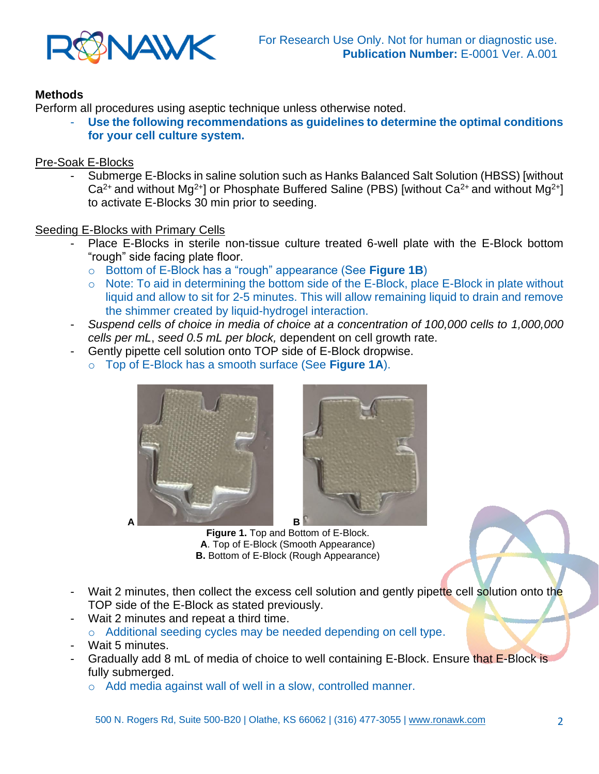

# **Methods**

Perform all procedures using aseptic technique unless otherwise noted.

Use the following recommendations as guidelines to determine the optimal conditions **for your cell culture system.** 

## Pre-Soak E-Blocks

- Submerge E-Blocks in saline solution such as Hanks Balanced Salt Solution (HBSS) [without  $Ca^{2+}$  and without Mg<sup>2+</sup>] or Phosphate Buffered Saline (PBS) [without Ca<sup>2+</sup> and without Mg<sup>2+</sup>] to activate E-Blocks 30 min prior to seeding.

## Seeding E-Blocks with Primary Cells

- Place E-Blocks in sterile non-tissue culture treated 6-well plate with the E-Block bottom "rough" side facing plate floor.
	- o Bottom of E-Block has a "rough" appearance (See **Figure 1B**)
	- o Note: To aid in determining the bottom side of the E-Block, place E-Block in plate without liquid and allow to sit for 2-5 minutes. This will allow remaining liquid to drain and remove the shimmer created by liquid-hydrogel interaction.
- *Suspend cells of choice in media of choice at a concentration of 100,000 cells to 1,000,000 cells per mL*, *seed 0.5 mL per block,* dependent on cell growth rate.
- Gently pipette cell solution onto TOP side of E-Block dropwise.
	- o Top of E-Block has a smooth surface (See **Figure 1A**).



**Figure 1.** Top and Bottom of E-Block. **A**. Top of E-Block (Smooth Appearance) **B.** Bottom of E-Block (Rough Appearance)

- Wait 2 minutes, then collect the excess cell solution and gently pipette cell solution onto the TOP side of the E-Block as stated previously.
- Wait 2 minutes and repeat a third time. o Additional seeding cycles may be needed depending on cell type.
- Wait 5 minutes.
- Gradually add 8 mL of media of choice to well containing E-Block. Ensure that E-Block is fully submerged.
	- o Add media against wall of well in a slow, controlled manner.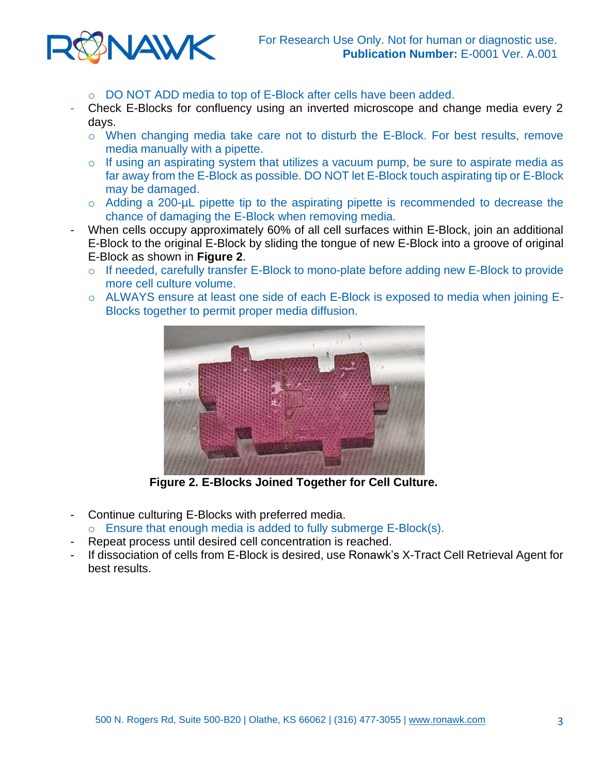

- o DO NOT ADD media to top of E-Block after cells have been added.
- Check E-Blocks for confluency using an inverted microscope and change media every 2 days.
	- o When changing media take care not to disturb the E-Block. For best results, remove media manually with a pipette.
	- o If using an aspirating system that utilizes a vacuum pump, be sure to aspirate media as far away from the E-Block as possible. DO NOT let E-Block touch aspirating tip or E-Block may be damaged.
	- o Adding a 200-µL pipette tip to the aspirating pipette is recommended to decrease the chance of damaging the E-Block when removing media.
- When cells occupy approximately 60% of all cell surfaces within E-Block, join an additional E-Block to the original E-Block by sliding the tongue of new E-Block into a groove of original E-Block as shown in **Figure 2**.
	- o If needed, carefully transfer E-Block to mono-plate before adding new E-Block to provide more cell culture volume.
	- o ALWAYS ensure at least one side of each E-Block is exposed to media when joining E-Blocks together to permit proper media diffusion.



 **Figure 2. E-Blocks Joined Together for Cell Culture.**

- Continue culturing E-Blocks with preferred media.
- $\circ$  Ensure that enough media is added to fully submerge E-Block(s).
- Repeat process until desired cell concentration is reached.
- If dissociation of cells from E-Block is desired, use Ronawk's X-Tract Cell Retrieval Agent for best results.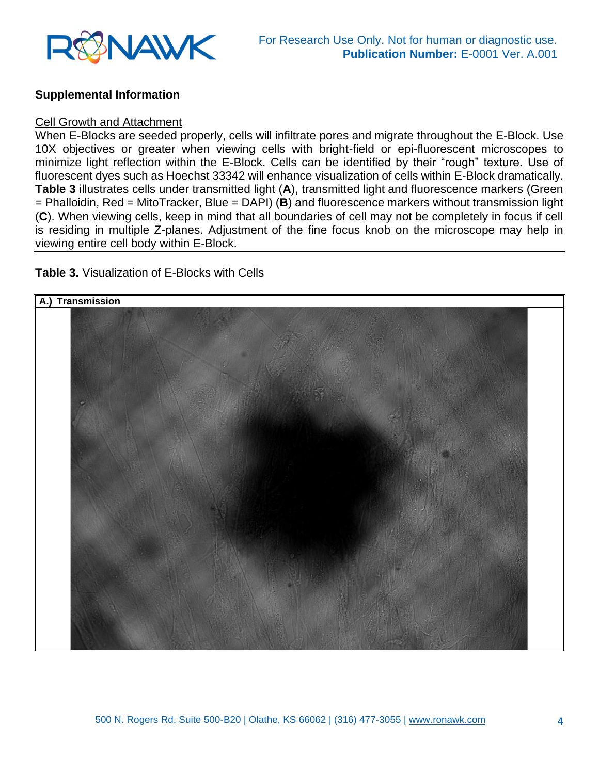

#### **Supplemental Information**

#### Cell Growth and Attachment

When E-Blocks are seeded properly, cells will infiltrate pores and migrate throughout the E-Block. Use 10X objectives or greater when viewing cells with bright-field or epi-fluorescent microscopes to minimize light reflection within the E-Block. Cells can be identified by their "rough" texture. Use of fluorescent dyes such as Hoechst 33342 will enhance visualization of cells within E-Block dramatically. **Table 3** illustrates cells under transmitted light (**A**), transmitted light and fluorescence markers (Green = Phalloidin, Red = MitoTracker, Blue = DAPI) (**B**) and fluorescence markers without transmission light (**C**). When viewing cells, keep in mind that all boundaries of cell may not be completely in focus if cell is residing in multiple Z-planes. Adjustment of the fine focus knob on the microscope may help in viewing entire cell body within E-Block.

#### **Table 3.** Visualization of E-Blocks with Cells

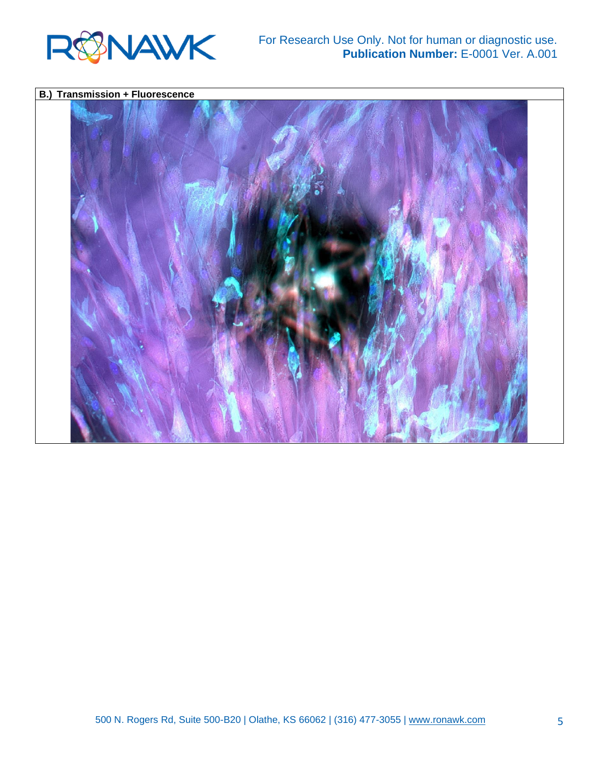

#### For Research Use Only. Not for human or diagnostic use. **Publication Number:** E-0001 Ver. A.001

# **B.) Transmission + Fluorescence**

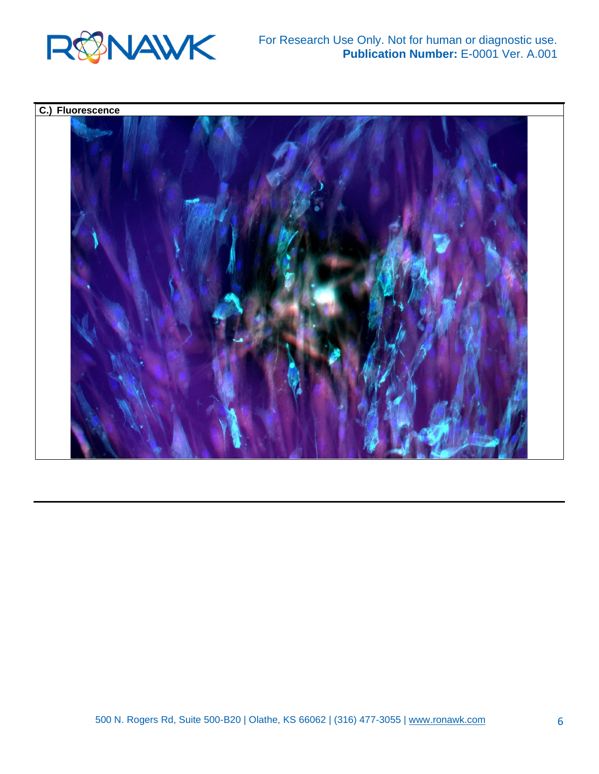